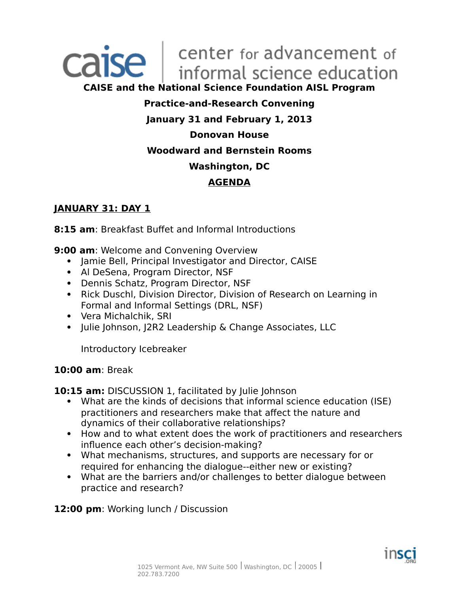# Caise | center for advancement of

**CAISE and the National Science Foundation AISL Program**

#### **Practice-and-Research Convening**

#### **January 31 and February 1, 2013**

#### **Donovan House**

#### **Woodward and Bernstein Rooms**

#### **Washington, DC**

#### **AGENDA**

#### **JANUARY 31: DAY 1**

**8:15 am**: Breakfast Buffet and Informal Introductions

**9:00 am**: Welcome and Convening Overview

- Jamie Bell, Principal Investigator and Director, CAISE
- Al DeSena, Program Director, NSF
- Dennis Schatz, Program Director, NSF
- Rick Duschl, Division Director, Division of Research on Learning in Formal and Informal Settings (DRL, NSF)
- Vera Michalchik, SRI
- Julie Johnson, J2R2 Leadership & Change Associates, LLC

Introductory Icebreaker

#### **10:00 am**: Break

**10:15 am: DISCUSSION 1, facilitated by Julie Johnson** 

- What are the kinds of decisions that informal science education (ISE) practitioners and researchers make that affect the nature and dynamics of their collaborative relationships?
- How and to what extent does the work of practitioners and researchers influence each other's decision-making?
- What mechanisms, structures, and supports are necessary for or required for enhancing the dialogue--either new or existing?
- What are the barriers and/or challenges to better dialogue between practice and research?

**12:00 pm**: Working lunch / Discussion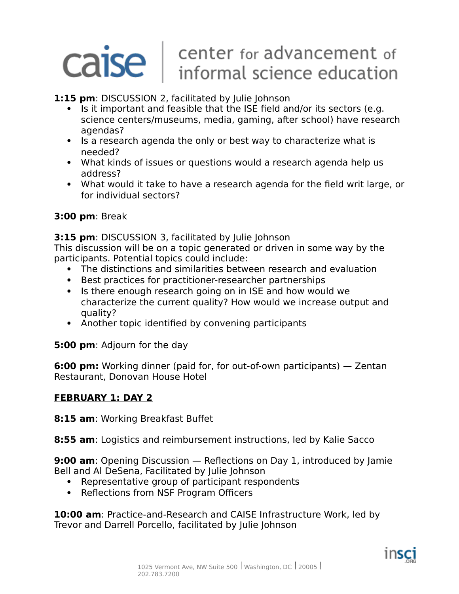## Caise | center for advancement of<br>informal science education

#### **1:15 pm**: DISCUSSION 2, facilitated by Julie Johnson

- Is it important and feasible that the ISE field and/or its sectors (e.g. science centers/museums, media, gaming, after school) have research agendas?
- Is a research agenda the only or best way to characterize what is needed?
- What kinds of issues or questions would a research agenda help us address?
- What would it take to have a research agenda for the field writ large, or for individual sectors?

#### **3:00 pm**: Break

**3:15 pm**: DISCUSSION 3, facilitated by Julie Johnson

This discussion will be on a topic generated or driven in some way by the participants. Potential topics could include:

- The distinctions and similarities between research and evaluation
- Best practices for practitioner-researcher partnerships
- Is there enough research going on in ISE and how would we characterize the current quality? How would we increase output and quality?
- Another topic identified by convening participants

**5:00 pm**: Adjourn for the day

**6:00 pm:** Working dinner (paid for, for out-of-own participants) — Zentan Restaurant, Donovan House Hotel

#### **FEBRUARY 1: DAY 2**

**8:15 am**: Working Breakfast Buffet

**8:55 am**: Logistics and reimbursement instructions, led by Kalie Sacco

**9:00 am**: Opening Discussion — Reflections on Day 1, introduced by Jamie Bell and Al DeSena, Facilitated by Julie Johnson

- Representative group of participant respondents
- Reflections from NSF Program Officers

**10:00 am**: Practice-and-Research and CAISE Infrastructure Work, led by Trevor and Darrell Porcello, facilitated by Julie Johnson